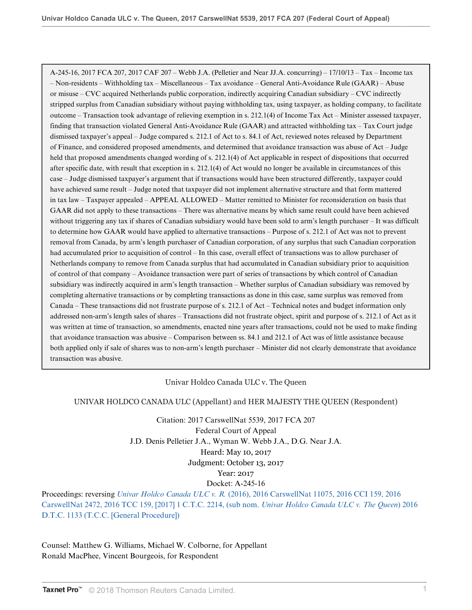A-245-16, 2017 FCA 207, 2017 CAF 207 – Webb J.A. (Pelletier and Near JJ.A. concurring) – 17/10/13 – Tax – Income tax – Non-residents – Withholding tax – Miscellaneous – Tax avoidance – General Anti-Avoidance Rule (GAAR) – Abuse or misuse – CVC acquired Netherlands public corporation, indirectly acquiring Canadian subsidiary – CVC indirectly stripped surplus from Canadian subsidiary without paying withholding tax, using taxpayer, as holding company, to facilitate outcome – Transaction took advantage of relieving exemption in s. 212.1(4) of Income Tax Act – Minister assessed taxpayer, finding that transaction violated General Anti-Avoidance Rule (GAAR) and attracted withholding tax – Tax Court judge dismissed taxpayer's appeal – Judge compared s. 212.1 of Act to s. 84.1 of Act, reviewed notes released by Department of Finance, and considered proposed amendments, and determined that avoidance transaction was abuse of Act – Judge held that proposed amendments changed wording of s. 212.1(4) of Act applicable in respect of dispositions that occurred after specific date, with result that exception in s. 212.1(4) of Act would no longer be available in circumstances of this case – Judge dismissed taxpayer's argument that if transactions would have been structured differently, taxpayer could have achieved same result – Judge noted that taxpayer did not implement alternative structure and that form mattered in tax law – Taxpayer appealed – APPEAL ALLOWED – Matter remitted to Minister for reconsideration on basis that GAAR did not apply to these transactions – There was alternative means by which same result could have been achieved without triggering any tax if shares of Canadian subsidiary would have been sold to arm's length purchaser – It was difficult to determine how GAAR would have applied to alternative transactions – Purpose of s. 212.1 of Act was not to prevent removal from Canada, by arm's length purchaser of Canadian corporation, of any surplus that such Canadian corporation had accumulated prior to acquisition of control – In this case, overall effect of transactions was to allow purchaser of Netherlands company to remove from Canada surplus that had accumulated in Canadian subsidiary prior to acquisition of control of that company – Avoidance transaction were part of series of transactions by which control of Canadian subsidiary was indirectly acquired in arm's length transaction – Whether surplus of Canadian subsidiary was removed by completing alternative transactions or by completing transactions as done in this case, same surplus was removed from Canada – These transactions did not frustrate purpose of s. 212.1 of Act – Technical notes and budget information only addressed non-arm's length sales of shares – Transactions did not frustrate object, spirit and purpose of s. 212.1 of Act as it was written at time of transaction, so amendments, enacted nine years after transactions, could not be used to make finding that avoidance transaction was abusive – Comparison between ss. 84.1 and 212.1 of Act was of little assistance because both applied only if sale of shares was to non-arm's length purchaser – Minister did not clearly demonstrate that avoidance transaction was abusive.

Univar Holdco Canada ULC v. The Queen

## UNIVAR HOLDCO CANADA ULC (Appellant) and HER MAJESTY THE QUEEN (Respondent)

Citation: 2017 CarswellNat 5539, 2017 FCA 207 Federal Court of Appeal J.D. Denis Pelletier J.A., Wyman W. Webb J.A., D.G. Near J.A. Heard: May 10, 2017 Judgment: October 13, 2017 Year: 2017 Docket: A-245-16

Proceedings: reversing *Univar Holdco Canada ULC v. R.* [\(2016\), 2016 CarswellNat 11075, 2016 CCI 159, 2016](http://v3.taxnetpro.com/Document/I36ec0ba146323b9ae0540021280d79ee/View/FullText.html?originationContext=document&vr=3.0&rs=cblt1.0&transitionType=DocumentItem&contextData=(sc.Search)) [CarswellNat 2472, 2016 TCC 159, \[2017\] 1 C.T.C. 2214, \(sub nom.](http://v3.taxnetpro.com/Document/I36ec0ba146323b9ae0540021280d79ee/View/FullText.html?originationContext=document&vr=3.0&rs=cblt1.0&transitionType=DocumentItem&contextData=(sc.Search)) *Univar Holdco Canada ULC v. The Queen*) 2016 [D.T.C. 1133 \(T.C.C. \[General Procedure\]\)](http://v3.taxnetpro.com/Document/I36ec0ba146323b9ae0540021280d79ee/View/FullText.html?originationContext=document&vr=3.0&rs=cblt1.0&transitionType=DocumentItem&contextData=(sc.Search))

Counsel: Matthew G. Williams, Michael W. Colborne, for Appellant Ronald MacPhee, Vincent Bourgeois, for Respondent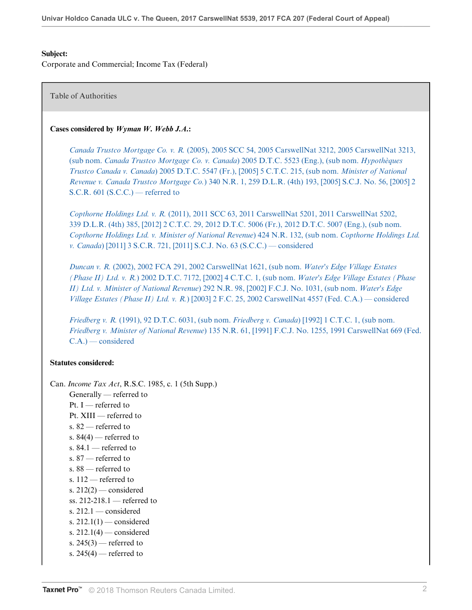## **Subject:**

Corporate and Commercial; Income Tax (Federal)

#### Table of Authorities

#### **Cases considered by** *Wyman W. Webb J.A.***:**

*Canada Trustco Mortgage Co. v. R.* [\(2005\), 2005 SCC 54, 2005 CarswellNat 3212, 2005 CarswellNat 3213,](http://v3.taxnetpro.com/Document/I8d7d939394245dece0440003ba833f85/View/FullText.html?originationContext=document&vr=3.0&rs=cblt1.0&transitionType=DocumentItem&contextData=(sc.Search)) (sub nom. *[Canada Trustco Mortgage Co. v. Canada](http://v3.taxnetpro.com/Document/I8d7d939394245dece0440003ba833f85/View/FullText.html?originationContext=document&vr=3.0&rs=cblt1.0&transitionType=DocumentItem&contextData=(sc.Search))*) 2005 D.T.C. 5523 (Eng.), (sub nom. *Hypothèques Trustco Canada v. Canada*[\) 2005 D.T.C. 5547 \(Fr.\), \[2005\] 5 C.T.C. 215, \(sub nom.](http://v3.taxnetpro.com/Document/I8d7d939394245dece0440003ba833f85/View/FullText.html?originationContext=document&vr=3.0&rs=cblt1.0&transitionType=DocumentItem&contextData=(sc.Search)) *Minister of National Revenue v. Canada Trustco Mortgage Co.*[\) 340 N.R. 1, 259 D.L.R. \(4th\) 193, \[2005\] S.C.J. No. 56, \[2005\] 2](http://v3.taxnetpro.com/Document/I8d7d939394245dece0440003ba833f85/View/FullText.html?originationContext=document&vr=3.0&rs=cblt1.0&transitionType=DocumentItem&contextData=(sc.Search)) S.C.R.  $601$  (S.C.C.) — referred to

*Copthorne Holdings Ltd. v. R.* [\(2011\), 2011 SCC 63, 2011 CarswellNat 5201, 2011 CarswellNat 5202,](http://v3.taxnetpro.com/Document/Ib6468171105f07f8e0440021280d79ee/View/FullText.html?originationContext=document&vr=3.0&rs=cblt1.0&transitionType=DocumentItem&contextData=(sc.Search)) [339 D.L.R. \(4th\) 385, \[2012\] 2 C.T.C. 29, 2012 D.T.C. 5006 \(Fr.\), 2012 D.T.C. 5007 \(Eng.\), \(sub nom.](http://v3.taxnetpro.com/Document/Ib6468171105f07f8e0440021280d79ee/View/FullText.html?originationContext=document&vr=3.0&rs=cblt1.0&transitionType=DocumentItem&contextData=(sc.Search)) *[Copthorne Holdings Ltd. v. Minister of National Revenue](http://v3.taxnetpro.com/Document/Ib6468171105f07f8e0440021280d79ee/View/FullText.html?originationContext=document&vr=3.0&rs=cblt1.0&transitionType=DocumentItem&contextData=(sc.Search))*) 424 N.R. 132, (sub nom. *Copthorne Holdings Ltd. v. Canada*[\) \[2011\] 3 S.C.R. 721, \[2011\] S.C.J. No. 63 \(S.C.C.\) — considered](http://v3.taxnetpro.com/Document/Ib6468171105f07f8e0440021280d79ee/View/FullText.html?originationContext=document&vr=3.0&rs=cblt1.0&transitionType=DocumentItem&contextData=(sc.Search))

*Duncan v. R.* [\(2002\), 2002 FCA 291, 2002 CarswellNat 1621, \(sub nom.](http://v3.taxnetpro.com/Document/I8d7d9393d13b5dece0440003ba833f85/View/FullText.html?originationContext=document&vr=3.0&rs=cblt1.0&transitionType=DocumentItem&contextData=(sc.Search)) *Water's Edge Village Estates (Phase II) Ltd. v. R.*[\) 2002 D.T.C. 7172, \[2002\] 4 C.T.C. 1, \(sub nom.](http://v3.taxnetpro.com/Document/I8d7d9393d13b5dece0440003ba833f85/View/FullText.html?originationContext=document&vr=3.0&rs=cblt1.0&transitionType=DocumentItem&contextData=(sc.Search)) *Water's Edge Village Estates (Phase II) Ltd. v. Minister of National Revenue*[\) 292 N.R. 98, \[2002\] F.C.J. No. 1031, \(sub nom.](http://v3.taxnetpro.com/Document/I8d7d9393d13b5dece0440003ba833f85/View/FullText.html?originationContext=document&vr=3.0&rs=cblt1.0&transitionType=DocumentItem&contextData=(sc.Search)) *Water's Edge Village Estates (Phase II) Ltd. v. R.*[\) \[2003\] 2 F.C. 25, 2002 CarswellNat 4557 \(Fed. C.A.\) — considered](http://v3.taxnetpro.com/Document/I8d7d9393d13b5dece0440003ba833f85/View/FullText.html?originationContext=document&vr=3.0&rs=cblt1.0&transitionType=DocumentItem&contextData=(sc.Search))

*Friedberg v. R.* [\(1991\), 92 D.T.C. 6031, \(sub nom.](http://v3.taxnetpro.com/Document/I8d7d93944a805dece0440003ba833f85/View/FullText.html?originationContext=document&vr=3.0&rs=cblt1.0&transitionType=DocumentItem&contextData=(sc.Search)) *Friedberg v. Canada*) [1992] 1 C.T.C. 1, (sub nom. *Friedberg v. Minister of National Revenue*[\) 135 N.R. 61, \[1991\] F.C.J. No. 1255, 1991 CarswellNat 669 \(Fed.](http://v3.taxnetpro.com/Document/I8d7d93944a805dece0440003ba833f85/View/FullText.html?originationContext=document&vr=3.0&rs=cblt1.0&transitionType=DocumentItem&contextData=(sc.Search)) [C.A.\) — considered](http://v3.taxnetpro.com/Document/I8d7d93944a805dece0440003ba833f85/View/FullText.html?originationContext=document&vr=3.0&rs=cblt1.0&transitionType=DocumentItem&contextData=(sc.Search))

## **Statutes considered:**

Can. *Income Tax Act*, R.S.C. 1985, c. 1 (5th Supp.) Generally — referred to Pt. I — referred to Pt. XIII — referred to s. 82 — referred to s.  $84(4)$  — referred to s. 84.1 — referred to s. 87 — referred to s. 88 — referred to s. 112 — referred to s.  $212(2)$  — considered ss.  $212-218.1$  — referred to s.  $212.1$  — considered s.  $212.1(1)$  — considered s.  $212.1(4)$  — considered s.  $245(3)$  — referred to s.  $245(4)$  — referred to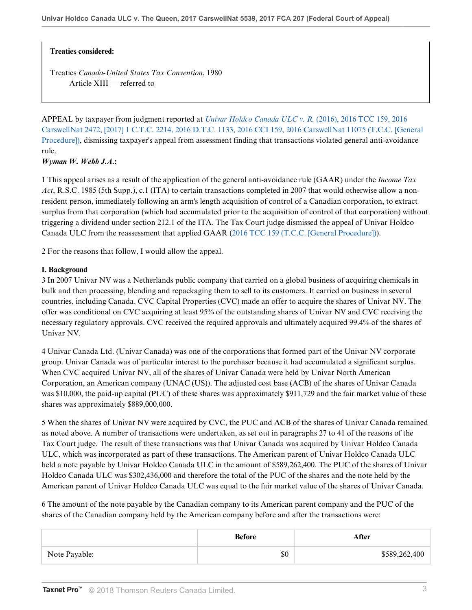# **Treaties considered:**

Treaties *Canada-United States Tax Convention*, 1980 Article XIII — referred to

APPEAL by taxpayer from judgment reported at *[Univar Holdco Canada ULC v. R.](http://v3.taxnetpro.com/Document/I36ec0ba146323b9ae0540021280d79ee/View/FullText.html?originationContext=document&vr=3.0&rs=cblt1.0&transitionType=DocumentItem&contextData=(sc.Search))* (2016), 2016 TCC 159, 2016 [CarswellNat 2472, \[2017\] 1 C.T.C. 2214, 2016 D.T.C. 1133, 2016 CCI 159, 2016 CarswellNat 11075 \(T.C.C. \[General](http://v3.taxnetpro.com/Document/I36ec0ba146323b9ae0540021280d79ee/View/FullText.html?originationContext=document&vr=3.0&rs=cblt1.0&transitionType=DocumentItem&contextData=(sc.Search)) [Procedure\]\)](http://v3.taxnetpro.com/Document/I36ec0ba146323b9ae0540021280d79ee/View/FullText.html?originationContext=document&vr=3.0&rs=cblt1.0&transitionType=DocumentItem&contextData=(sc.Search)), dismissing taxpayer's appeal from assessment finding that transactions violated general anti-avoidance rule.

*Wyman W. Webb J.A.***:**

1 This appeal arises as a result of the application of the general anti-avoidance rule (GAAR) under the *Income Tax Act*, R.S.C. 1985 (5th Supp.), c.1 (ITA) to certain transactions completed in 2007 that would otherwise allow a nonresident person, immediately following an arm's length acquisition of control of a Canadian corporation, to extract surplus from that corporation (which had accumulated prior to the acquisition of control of that corporation) without triggering a dividend under section 212.1 of the ITA. The Tax Court judge dismissed the appeal of Univar Holdco Canada ULC from the reassessment that applied GAAR [\(2016 TCC 159 \(T.C.C. \[General Procedure\]\)](http://v3.taxnetpro.com/Document/I36ec0ba146323b9ae0540021280d79ee/View/FullText.html?originationContext=document&vr=3.0&rs=cblt1.0&transitionType=DocumentItem&contextData=(sc.Search))).

2 For the reasons that follow, I would allow the appeal.

# **I. Background**

3 In 2007 Univar NV was a Netherlands public company that carried on a global business of acquiring chemicals in bulk and then processing, blending and repackaging them to sell to its customers. It carried on business in several countries, including Canada. CVC Capital Properties (CVC) made an offer to acquire the shares of Univar NV. The offer was conditional on CVC acquiring at least 95% of the outstanding shares of Univar NV and CVC receiving the necessary regulatory approvals. CVC received the required approvals and ultimately acquired 99.4% of the shares of Univar NV.

4 Univar Canada Ltd. (Univar Canada) was one of the corporations that formed part of the Univar NV corporate group. Univar Canada was of particular interest to the purchaser because it had accumulated a significant surplus. When CVC acquired Univar NV, all of the shares of Univar Canada were held by Univar North American Corporation, an American company (UNAC (US)). The adjusted cost base (ACB) of the shares of Univar Canada was \$10,000, the paid-up capital (PUC) of these shares was approximately \$911,729 and the fair market value of these shares was approximately \$889,000,000.

5 When the shares of Univar NV were acquired by CVC, the PUC and ACB of the shares of Univar Canada remained as noted above. A number of transactions were undertaken, as set out in paragraphs 27 to 41 of the reasons of the Tax Court judge. The result of these transactions was that Univar Canada was acquired by Univar Holdco Canada ULC, which was incorporated as part of these transactions. The American parent of Univar Holdco Canada ULC held a note payable by Univar Holdco Canada ULC in the amount of \$589,262,400. The PUC of the shares of Univar Holdco Canada ULC was \$302,436,000 and therefore the total of the PUC of the shares and the note held by the American parent of Univar Holdco Canada ULC was equal to the fair market value of the shares of Univar Canada.

6 The amount of the note payable by the Canadian company to its American parent company and the PUC of the shares of the Canadian company held by the American company before and after the transactions were:

|               | Before | After         |
|---------------|--------|---------------|
| Note Payable: | \$0    | \$589,262,400 |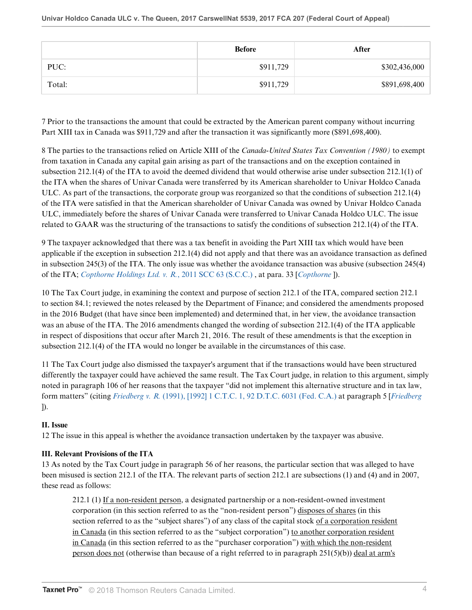|        | <b>Before</b> | After         |
|--------|---------------|---------------|
| PUC:   | \$911,729     | \$302,436,000 |
| Total: | \$911,729     | \$891,698,400 |

7 Prior to the transactions the amount that could be extracted by the American parent company without incurring Part XIII tax in Canada was \$911,729 and after the transaction it was significantly more (\$891,698,400).

8 The parties to the transactions relied on Article XIII of the *Canada-United States Tax Convention (1980)* to exempt from taxation in Canada any capital gain arising as part of the transactions and on the exception contained in subsection 212.1(4) of the ITA to avoid the deemed dividend that would otherwise arise under subsection 212.1(1) of the ITA when the shares of Univar Canada were transferred by its American shareholder to Univar Holdco Canada ULC. As part of the transactions, the corporate group was reorganized so that the conditions of subsection 212.1(4) of the ITA were satisfied in that the American shareholder of Univar Canada was owned by Univar Holdco Canada ULC, immediately before the shares of Univar Canada were transferred to Univar Canada Holdco ULC. The issue related to GAAR was the structuring of the transactions to satisfy the conditions of subsection 212.1(4) of the ITA.

9 The taxpayer acknowledged that there was a tax benefit in avoiding the Part XIII tax which would have been applicable if the exception in subsection 212.1(4) did not apply and that there was an avoidance transaction as defined in subsection 245(3) of the ITA. The only issue was whether the avoidance transaction was abusive (subsection 245(4) of the ITA; *[Copthorne Holdings Ltd. v. R.](http://v3.taxnetpro.com/Document/Ib6468171105f07f8e0440021280d79ee/View/FullText.html?originationContext=document&vr=3.0&rs=cblt1.0&transitionType=DocumentItem&contextData=(sc.Search))*, 2011 SCC 63 (S.C.C.) , at para. 33 [*[Copthorne](http://v3.taxnetpro.com/Document/Ib6468171105f07f8e0440021280d79ee/View/FullText.html?originationContext=document&vr=3.0&rs=cblt1.0&transitionType=DocumentItem&contextData=(sc.Search))* ]).

10 The Tax Court judge, in examining the context and purpose of section 212.1 of the ITA, compared section 212.1 to section 84.1; reviewed the notes released by the Department of Finance; and considered the amendments proposed in the 2016 Budget (that have since been implemented) and determined that, in her view, the avoidance transaction was an abuse of the ITA. The 2016 amendments changed the wording of subsection 212.1(4) of the ITA applicable in respect of dispositions that occur after March 21, 2016. The result of these amendments is that the exception in subsection 212.1(4) of the ITA would no longer be available in the circumstances of this case.

11 The Tax Court judge also dismissed the taxpayer's argument that if the transactions would have been structured differently the taxpayer could have achieved the same result. The Tax Court judge, in relation to this argument, simply noted in paragraph 106 of her reasons that the taxpayer "did not implement this alternative structure and in tax law, form matters" (citing *Friedberg v. R.* [\(1991\), \[1992\] 1 C.T.C. 1, 92 D.T.C. 6031 \(Fed. C.A.\)](http://v3.taxnetpro.com/Document/I8d7d93944a805dece0440003ba833f85/View/FullText.html?originationContext=document&vr=3.0&rs=cblt1.0&transitionType=DocumentItem&contextData=(sc.Search)) at paragraph 5 [*[Friedberg](http://v3.taxnetpro.com/Document/I8d7d93944a805dece0440003ba833f85/View/FullText.html?originationContext=document&vr=3.0&rs=cblt1.0&transitionType=DocumentItem&contextData=(sc.Search))* ]).

# **II. Issue**

12 The issue in this appeal is whether the avoidance transaction undertaken by the taxpayer was abusive.

# **III. Relevant Provisions of the ITA**

13 As noted by the Tax Court judge in paragraph 56 of her reasons, the particular section that was alleged to have been misused is section 212.1 of the ITA. The relevant parts of section 212.1 are subsections (1) and (4) and in 2007, these read as follows:

212.1 (1) If a non-resident person, a designated partnership or a non-resident-owned investment corporation (in this section referred to as the "non-resident person") disposes of shares (in this section referred to as the "subject shares") of any class of the capital stock of a corporation resident in Canada (in this section referred to as the "subject corporation") to another corporation resident in Canada (in this section referred to as the "purchaser corporation") with which the non-resident person does not (otherwise than because of a right referred to in paragraph 251(5)(b)) deal at arm's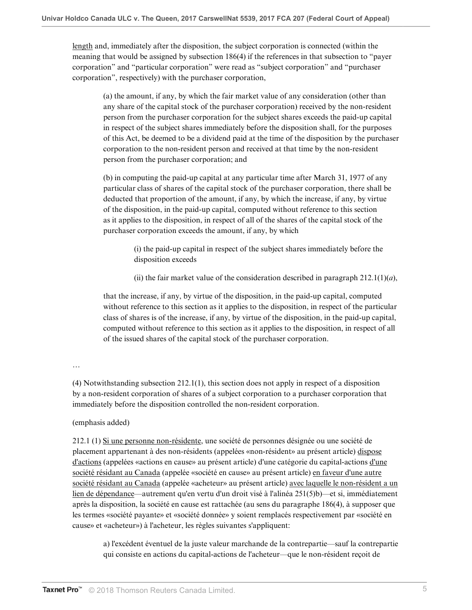length and, immediately after the disposition, the subject corporation is connected (within the meaning that would be assigned by subsection 186(4) if the references in that subsection to "payer corporation" and "particular corporation" were read as "subject corporation" and "purchaser corporation", respectively) with the purchaser corporation,

(a) the amount, if any, by which the fair market value of any consideration (other than any share of the capital stock of the purchaser corporation) received by the non-resident person from the purchaser corporation for the subject shares exceeds the paid-up capital in respect of the subject shares immediately before the disposition shall, for the purposes of this Act, be deemed to be a dividend paid at the time of the disposition by the purchaser corporation to the non-resident person and received at that time by the non-resident person from the purchaser corporation; and

(b) in computing the paid-up capital at any particular time after March 31, 1977 of any particular class of shares of the capital stock of the purchaser corporation, there shall be deducted that proportion of the amount, if any, by which the increase, if any, by virtue of the disposition, in the paid-up capital, computed without reference to this section as it applies to the disposition, in respect of all of the shares of the capital stock of the purchaser corporation exceeds the amount, if any, by which

> (i) the paid-up capital in respect of the subject shares immediately before the disposition exceeds

(ii) the fair market value of the consideration described in paragraph  $212.1(1)(a)$ ,

that the increase, if any, by virtue of the disposition, in the paid-up capital, computed without reference to this section as it applies to the disposition, in respect of the particular class of shares is of the increase, if any, by virtue of the disposition, in the paid-up capital, computed without reference to this section as it applies to the disposition, in respect of all of the issued shares of the capital stock of the purchaser corporation.

…

(4) Notwithstanding subsection 212.1(1), this section does not apply in respect of a disposition by a non-resident corporation of shares of a subject corporation to a purchaser corporation that immediately before the disposition controlled the non-resident corporation.

# (emphasis added)

212.1 (1) Si une personne non-résidente, une société de personnes désignée ou une société de placement appartenant à des non-résidents (appelées «non-résident» au présent article) dispose d'actions (appelées «actions en cause» au présent article) d'une catégorie du capital-actions d'une société résidant au Canada (appelée «société en cause» au présent article) en faveur d'une autre société résidant au Canada (appelée «acheteur» au présent article) avec laquelle le non-résident a un lien de dépendance—autrement qu'en vertu d'un droit visé à l'alinéa 251(5)b)—et si, immédiatement après la disposition, la société en cause est rattachée (au sens du paragraphe 186(4), à supposer que les termes «société payante» et «société donnée» y soient remplacés respectivement par «société en cause» et «acheteur») à l'acheteur, les règles suivantes s'appliquent:

a) l'excédent éventuel de la juste valeur marchande de la contrepartie—sauf la contrepartie qui consiste en actions du capital-actions de l'acheteur—que le non-résident reçoit de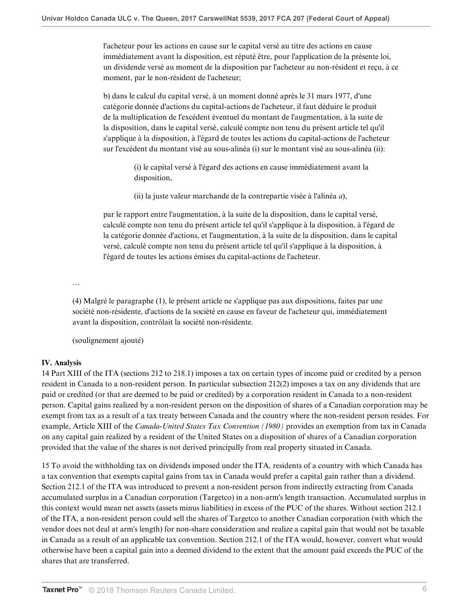l'acheteur pour les actions en cause sur le capital versé au titre des actions en cause immédiatement avant la disposition, est réputé être, pour l'application de la présente loi, un dividende versé au moment de la disposition par l'acheteur au non-résident et reçu, à ce moment, par le non-résident de l'acheteur;

b) dans le calcul du capital versé, à un moment donné après le 31 mars 1977, d'une catégorie donnée d'actions du capital-actions de l'acheteur, il faut déduire le produit de la multiplication de l'excédent éventuel du montant de l'augmentation, à la suite de la disposition, dans le capital versé, calculé compte non tenu du présent article tel qu'il s'applique à la disposition, à l'égard de toutes les actions du capital-actions de l'acheteur sur l'excédent du montant visé au sous-alinéa (i) sur le montant visé au sous-alinéa (ii):

> (i) le capital versé à l'égard des actions en cause immédiatement avant la disposition,

(ii) la juste valeur marchande de la contrepartie visée à l'alinéa *a*),

par le rapport entre l'augmentation, à la suite de la disposition, dans le capital versé, calculé compte non tenu du présent article tel qu'il s'applique à la disposition, à l'égard de la catégorie donnée d'actions, et l'augmentation, à la suite de la disposition, dans le capital versé, calculé compte non tenu du présent article tel qu'il s'applique à la disposition, à l'égard de toutes les actions émises du capital-actions de l'acheteur.

…

(4) Malgré le paragraphe (1), le présent article ne s'applique pas aux dispositions, faites par une société non-résidente, d'actions de la société en cause en faveur de l'acheteur qui, immédiatement avant la disposition, contrôlait la société non-résidente.

(soulignement ajouté)

## **IV. Analysis**

14 Part XIII of the ITA (sections 212 to 218.1) imposes a tax on certain types of income paid or credited by a person resident in Canada to a non-resident person. In particular subsection 212(2) imposes a tax on any dividends that are paid or credited (or that are deemed to be paid or credited) by a corporation resident in Canada to a non-resident person. Capital gains realized by a non-resident person on the disposition of shares of a Canadian corporation may be exempt from tax as a result of a tax treaty between Canada and the country where the non-resident person resides. For example, Article XIII of the *Canada-United States Tax Convention (1980)* provides an exemption from tax in Canada on any capital gain realized by a resident of the United States on a disposition of shares of a Canadian corporation provided that the value of the shares is not derived principally from real property situated in Canada.

15 To avoid the withholding tax on dividends imposed under the ITA, residents of a country with which Canada has a tax convention that exempts capital gains from tax in Canada would prefer a capital gain rather than a dividend. Section 212.1 of the ITA was introduced to prevent a non-resident person from indirectly extracting from Canada accumulated surplus in a Canadian corporation (Targetco) in a non-arm's length transaction. Accumulated surplus in this context would mean net assets (assets minus liabilities) in excess of the PUC of the shares. Without section 212.1 of the ITA, a non-resident person could sell the shares of Targetco to another Canadian corporation (with which the vendor does not deal at arm's length) for non-share consideration and realize a capital gain that would not be taxable in Canada as a result of an applicable tax convention. Section 212.1 of the ITA would, however, convert what would otherwise have been a capital gain into a deemed dividend to the extent that the amount paid exceeds the PUC of the shares that are transferred.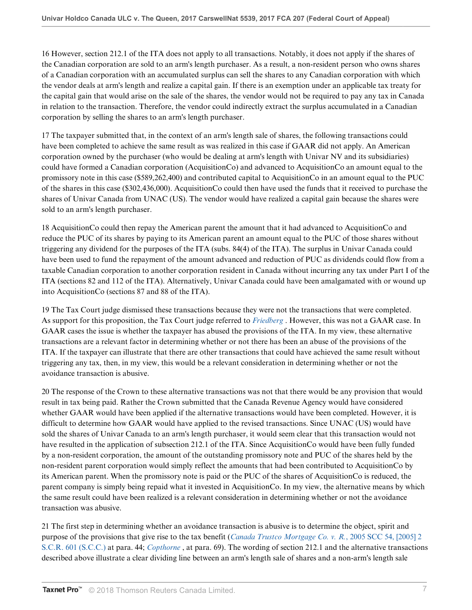16 However, section 212.1 of the ITA does not apply to all transactions. Notably, it does not apply if the shares of the Canadian corporation are sold to an arm's length purchaser. As a result, a non-resident person who owns shares of a Canadian corporation with an accumulated surplus can sell the shares to any Canadian corporation with which the vendor deals at arm's length and realize a capital gain. If there is an exemption under an applicable tax treaty for the capital gain that would arise on the sale of the shares, the vendor would not be required to pay any tax in Canada in relation to the transaction. Therefore, the vendor could indirectly extract the surplus accumulated in a Canadian corporation by selling the shares to an arm's length purchaser.

17 The taxpayer submitted that, in the context of an arm's length sale of shares, the following transactions could have been completed to achieve the same result as was realized in this case if GAAR did not apply. An American corporation owned by the purchaser (who would be dealing at arm's length with Univar NV and its subsidiaries) could have formed a Canadian corporation (AcquisitionCo) and advanced to AcquisitionCo an amount equal to the promissory note in this case (\$589,262,400) and contributed capital to AcquisitionCo in an amount equal to the PUC of the shares in this case (\$302,436,000). AcquisitionCo could then have used the funds that it received to purchase the shares of Univar Canada from UNAC (US). The vendor would have realized a capital gain because the shares were sold to an arm's length purchaser.

18 AcquisitionCo could then repay the American parent the amount that it had advanced to AcquisitionCo and reduce the PUC of its shares by paying to its American parent an amount equal to the PUC of those shares without triggering any dividend for the purposes of the ITA (subs. 84(4) of the ITA). The surplus in Univar Canada could have been used to fund the repayment of the amount advanced and reduction of PUC as dividends could flow from a taxable Canadian corporation to another corporation resident in Canada without incurring any tax under Part I of the ITA (sections 82 and 112 of the ITA). Alternatively, Univar Canada could have been amalgamated with or wound up into AcquisitionCo (sections 87 and 88 of the ITA).

19 The Tax Court judge dismissed these transactions because they were not the transactions that were completed. As support for this proposition, the Tax Court judge referred to *[Friedberg](http://v3.taxnetpro.com/Document/I8d7d93944a805dece0440003ba833f85/View/FullText.html?originationContext=document&vr=3.0&rs=cblt1.0&transitionType=DocumentItem&contextData=(sc.Search))* . However, this was not a GAAR case. In GAAR cases the issue is whether the taxpayer has abused the provisions of the ITA. In my view, these alternative transactions are a relevant factor in determining whether or not there has been an abuse of the provisions of the ITA. If the taxpayer can illustrate that there are other transactions that could have achieved the same result without triggering any tax, then, in my view, this would be a relevant consideration in determining whether or not the avoidance transaction is abusive.

20 The response of the Crown to these alternative transactions was not that there would be any provision that would result in tax being paid. Rather the Crown submitted that the Canada Revenue Agency would have considered whether GAAR would have been applied if the alternative transactions would have been completed. However, it is difficult to determine how GAAR would have applied to the revised transactions. Since UNAC (US) would have sold the shares of Univar Canada to an arm's length purchaser, it would seem clear that this transaction would not have resulted in the application of subsection 212.1 of the ITA. Since AcquisitionCo would have been fully funded by a non-resident corporation, the amount of the outstanding promissory note and PUC of the shares held by the non-resident parent corporation would simply reflect the amounts that had been contributed to AcquisitionCo by its American parent. When the promissory note is paid or the PUC of the shares of AcquisitionCo is reduced, the parent company is simply being repaid what it invested in AcquisitionCo. In my view, the alternative means by which the same result could have been realized is a relevant consideration in determining whether or not the avoidance transaction was abusive.

21 The first step in determining whether an avoidance transaction is abusive is to determine the object, spirit and purpose of the provisions that give rise to the tax benefit (*[Canada Trustco Mortgage Co. v. R.](http://v3.taxnetpro.com/Document/I8d7d939394245dece0440003ba833f85/View/FullText.html?originationContext=document&vr=3.0&rs=cblt1.0&transitionType=DocumentItem&contextData=(sc.Search))*, 2005 SCC 54, [2005] 2 [S.C.R. 601 \(S.C.C.\)](http://v3.taxnetpro.com/Document/I8d7d939394245dece0440003ba833f85/View/FullText.html?originationContext=document&vr=3.0&rs=cblt1.0&transitionType=DocumentItem&contextData=(sc.Search)) at para. 44; *[Copthorne](http://v3.taxnetpro.com/Document/Ib6468171105f07f8e0440021280d79ee/View/FullText.html?originationContext=document&vr=3.0&rs=cblt1.0&transitionType=DocumentItem&contextData=(sc.Search))* , at para. 69). The wording of section 212.1 and the alternative transactions described above illustrate a clear dividing line between an arm's length sale of shares and a non-arm's length sale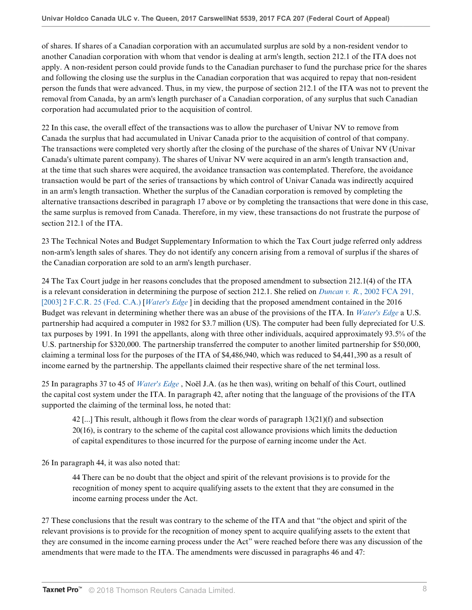of shares. If shares of a Canadian corporation with an accumulated surplus are sold by a non-resident vendor to another Canadian corporation with whom that vendor is dealing at arm's length, section 212.1 of the ITA does not apply. A non-resident person could provide funds to the Canadian purchaser to fund the purchase price for the shares and following the closing use the surplus in the Canadian corporation that was acquired to repay that non-resident person the funds that were advanced. Thus, in my view, the purpose of section 212.1 of the ITA was not to prevent the removal from Canada, by an arm's length purchaser of a Canadian corporation, of any surplus that such Canadian corporation had accumulated prior to the acquisition of control.

22 In this case, the overall effect of the transactions was to allow the purchaser of Univar NV to remove from Canada the surplus that had accumulated in Univar Canada prior to the acquisition of control of that company. The transactions were completed very shortly after the closing of the purchase of the shares of Univar NV (Univar Canada's ultimate parent company). The shares of Univar NV were acquired in an arm's length transaction and, at the time that such shares were acquired, the avoidance transaction was contemplated. Therefore, the avoidance transaction would be part of the series of transactions by which control of Univar Canada was indirectly acquired in an arm's length transaction. Whether the surplus of the Canadian corporation is removed by completing the alternative transactions described in paragraph 17 above or by completing the transactions that were done in this case, the same surplus is removed from Canada. Therefore, in my view, these transactions do not frustrate the purpose of section 212.1 of the ITA.

23 The Technical Notes and Budget Supplementary Information to which the Tax Court judge referred only address non-arm's length sales of shares. They do not identify any concern arising from a removal of surplus if the shares of the Canadian corporation are sold to an arm's length purchaser.

24 The Tax Court judge in her reasons concludes that the proposed amendment to subsection 212.1(4) of the ITA is a relevant consideration in determining the purpose of section 212.1. She relied on *Duncan v. R.*[, 2002 FCA 291,](http://v3.taxnetpro.com/Document/I8d7d9393d13b5dece0440003ba833f85/View/FullText.html?originationContext=document&vr=3.0&rs=cblt1.0&transitionType=DocumentItem&contextData=(sc.Search)) [\[2003\] 2 F.C.R. 25 \(Fed. C.A.\)](http://v3.taxnetpro.com/Document/I8d7d9393d13b5dece0440003ba833f85/View/FullText.html?originationContext=document&vr=3.0&rs=cblt1.0&transitionType=DocumentItem&contextData=(sc.Search)) [*[Water's Edge](http://v3.taxnetpro.com/Document/I8d7d9393d13b5dece0440003ba833f85/View/FullText.html?originationContext=document&vr=3.0&rs=cblt1.0&transitionType=DocumentItem&contextData=(sc.Search))* ] in deciding that the proposed amendment contained in the 2016 Budget was relevant in determining whether there was an abuse of the provisions of the ITA. In *[Water's Edge](http://v3.taxnetpro.com/Document/I8d7d9393d13b5dece0440003ba833f85/View/FullText.html?originationContext=document&vr=3.0&rs=cblt1.0&transitionType=DocumentItem&contextData=(sc.Search))* a U.S. partnership had acquired a computer in 1982 for \$3.7 million (US). The computer had been fully depreciated for U.S. tax purposes by 1991. In 1991 the appellants, along with three other individuals, acquired approximately 93.5% of the U.S. partnership for \$320,000. The partnership transferred the computer to another limited partnership for \$50,000, claiming a terminal loss for the purposes of the ITA of \$4,486,940, which was reduced to \$4,441,390 as a result of income earned by the partnership. The appellants claimed their respective share of the net terminal loss.

25 In paragraphs 37 to 45 of *[Water's Edge](http://v3.taxnetpro.com/Document/I8d7d9393d13b5dece0440003ba833f85/View/FullText.html?originationContext=document&vr=3.0&rs=cblt1.0&transitionType=DocumentItem&contextData=(sc.Search))* , Noël J.A. (as he then was), writing on behalf of this Court, outlined the capital cost system under the ITA. In paragraph 42, after noting that the language of the provisions of the ITA supported the claiming of the terminal loss, he noted that:

42 [...] This result, although it flows from the clear words of paragraph 13(21)(f) and subsection 20(16), is contrary to the scheme of the capital cost allowance provisions which limits the deduction of capital expenditures to those incurred for the purpose of earning income under the Act.

26 In paragraph 44, it was also noted that:

44 There can be no doubt that the object and spirit of the relevant provisions is to provide for the recognition of money spent to acquire qualifying assets to the extent that they are consumed in the income earning process under the Act.

27 These conclusions that the result was contrary to the scheme of the ITA and that "the object and spirit of the relevant provisions is to provide for the recognition of money spent to acquire qualifying assets to the extent that they are consumed in the income earning process under the Act" were reached before there was any discussion of the amendments that were made to the ITA. The amendments were discussed in paragraphs 46 and 47: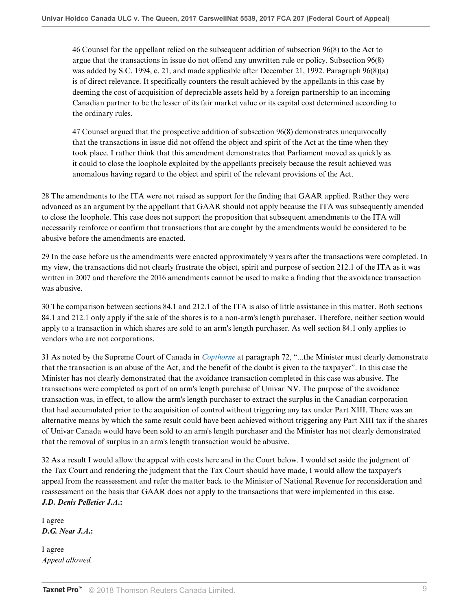46 Counsel for the appellant relied on the subsequent addition of subsection 96(8) to the Act to argue that the transactions in issue do not offend any unwritten rule or policy. Subsection 96(8) was added by S.C. 1994, c. 21, and made applicable after December 21, 1992. Paragraph 96(8)(a) is of direct relevance. It specifically counters the result achieved by the appellants in this case by deeming the cost of acquisition of depreciable assets held by a foreign partnership to an incoming Canadian partner to be the lesser of its fair market value or its capital cost determined according to the ordinary rules.

47 Counsel argued that the prospective addition of subsection 96(8) demonstrates unequivocally that the transactions in issue did not offend the object and spirit of the Act at the time when they took place. I rather think that this amendment demonstrates that Parliament moved as quickly as it could to close the loophole exploited by the appellants precisely because the result achieved was anomalous having regard to the object and spirit of the relevant provisions of the Act.

28 The amendments to the ITA were not raised as support for the finding that GAAR applied. Rather they were advanced as an argument by the appellant that GAAR should not apply because the ITA was subsequently amended to close the loophole. This case does not support the proposition that subsequent amendments to the ITA will necessarily reinforce or confirm that transactions that are caught by the amendments would be considered to be abusive before the amendments are enacted.

29 In the case before us the amendments were enacted approximately 9 years after the transactions were completed. In my view, the transactions did not clearly frustrate the object, spirit and purpose of section 212.1 of the ITA as it was written in 2007 and therefore the 2016 amendments cannot be used to make a finding that the avoidance transaction was abusive.

30 The comparison between sections 84.1 and 212.1 of the ITA is also of little assistance in this matter. Both sections 84.1 and 212.1 only apply if the sale of the shares is to a non-arm's length purchaser. Therefore, neither section would apply to a transaction in which shares are sold to an arm's length purchaser. As well section 84.1 only applies to vendors who are not corporations.

31 As noted by the Supreme Court of Canada in *[Copthorne](http://v3.taxnetpro.com/Document/Ib6468171105f07f8e0440021280d79ee/View/FullText.html?originationContext=document&vr=3.0&rs=cblt1.0&transitionType=DocumentItem&contextData=(sc.Search))* at paragraph 72, "...the Minister must clearly demonstrate that the transaction is an abuse of the Act, and the benefit of the doubt is given to the taxpayer". In this case the Minister has not clearly demonstrated that the avoidance transaction completed in this case was abusive. The transactions were completed as part of an arm's length purchase of Univar NV. The purpose of the avoidance transaction was, in effect, to allow the arm's length purchaser to extract the surplus in the Canadian corporation that had accumulated prior to the acquisition of control without triggering any tax under Part XIII. There was an alternative means by which the same result could have been achieved without triggering any Part XIII tax if the shares of Univar Canada would have been sold to an arm's length purchaser and the Minister has not clearly demonstrated that the removal of surplus in an arm's length transaction would be abusive.

32 As a result I would allow the appeal with costs here and in the Court below. I would set aside the judgment of the Tax Court and rendering the judgment that the Tax Court should have made, I would allow the taxpayer's appeal from the reassessment and refer the matter back to the Minister of National Revenue for reconsideration and reassessment on the basis that GAAR does not apply to the transactions that were implemented in this case. *J.D. Denis Pelletier J.A.***:**

I agree *D.G. Near J.A.***:**

I agree *Appeal allowed.*